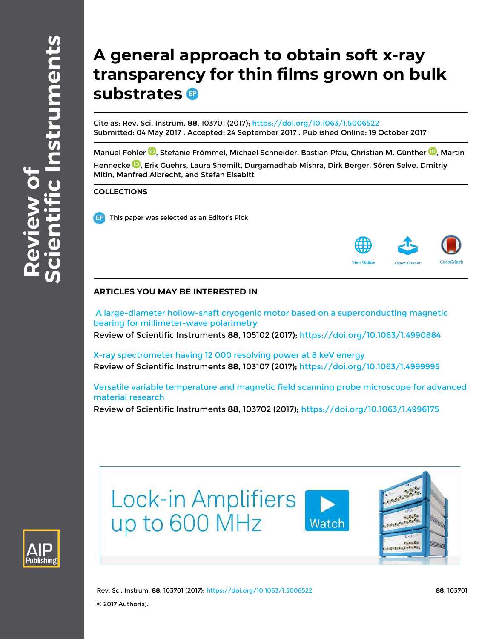# **A general approach to obtain soft x-ray transparency for thin films grown on bulk substrates**

Cite as: Rev. Sci. Instrum. **88**, 103701 (2017); https://doi.org/10.1063/1.5006522 Submitted: 04 May 2017 . Accepted: 24 September 2017 . Published Online: 19 October 2017

Manuel Fohler <sup>in</sup>, Stefanie Frömmel, Michael Schneider, Bastian Pfau, Christian M. Günther <sup>in</sup>, Martin Hennecke <sup>1</sup>D, Erik Guehrs, Laura Shemilt, Durgamadhab Mishra, Dirk Berger, Sören Selve, Dmitriy Mitin, Manfred Albrecht, and Stefan Eisebitt

## **COLLECTIONS**

This paper was selected as an Editor's Pick



## **ARTICLES YOU MAY BE INTERESTED IN**

 A large-diameter hollow-shaft cryogenic motor based on a superconducting magnetic bearing for millimeter-wave polarimetry Review of Scientific Instruments **88**, 105102 (2017); https://doi.org/10.1063/1.4990884

X-ray spectrometer having 12 000 resolving power at 8 keV energy Review of Scientific Instruments **88**, 103107 (2017); https://doi.org/10.1063/1.4999995

Versatile variable temperature and magnetic field scanning probe microscope for advanced material research

Review of Scientific Instruments **88**, 103702 (2017); https://doi.org/10.1063/1.4996175



**Lock-in Amplifiers** up to 600 MHz





Rev. Sci. Instrum. **88**, 103701 (2017); https://doi.org/10.1063/1.5006522 **88**, 103701 © 2017 Author(s).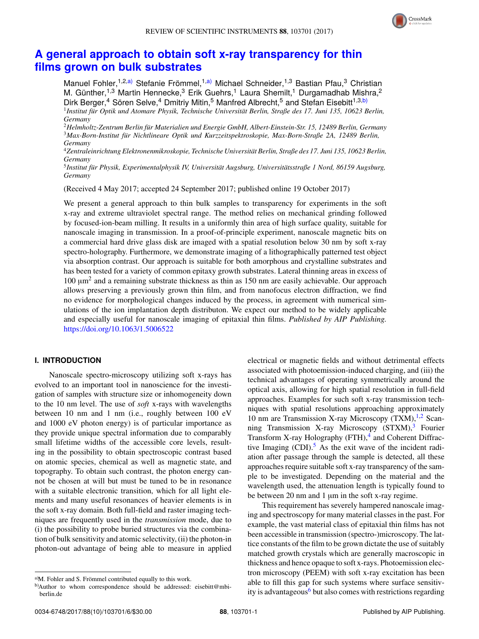

## **A general approach to obtain soft x-ray transparency for thin films grown on bulk substrates**

Manuel Fohler,<sup>1,2,a)</sup> Stefanie Frömmel,<sup>1,a)</sup> Michael Schneider,<sup>1,3</sup> Bastian Pfau,<sup>3</sup> Christian M. Günther,<sup>1,3</sup> Martin Hennecke,<sup>3</sup> Erik Guehrs,<sup>1</sup> Laura Shemilt,<sup>1</sup> Durgamadhab Mishra,<sup>2</sup> Dirk Berger,<sup>4</sup> Sören Selve,<sup>4</sup> Dmitriy Mitin,<sup>5</sup> Manfred Albrecht,<sup>5</sup> and Stefan Eisebitt<sup>1,3,b)</sup> <sup>1</sup> Institut für Optik und Atomare Physik, Technische Universität Berlin, Straße des 17. Juni 135, 10623 Berlin, *Germany*

<sup>2</sup>*Helmholtz-Zentrum Berlin fur Materialien und Energie GmbH, Albert-Einstein-Str. 15, 12489 Berlin, Germany ¨* <sup>3</sup>*Max-Born-Institut fur Nichtlineare Optik und Kurzzeitspektroskopie, Max-Born-Straße 2A, 12489 Berlin, ¨ Germany*

<sup>4</sup>*Zentraleinrichtung Elektronenmikroskopie, Technische Universitat Berlin, Straße des 17. Juni 135, 10623 Berlin, ¨ Germany*

<sup>5</sup> Institut für Physik, Experimentalphysik IV, Universität Augsburg, Universitätsstraße 1 Nord, 86159 Augsburg, *Germany*

(Received 4 May 2017; accepted 24 September 2017; published online 19 October 2017)

We present a general approach to thin bulk samples to transparency for experiments in the soft x-ray and extreme ultraviolet spectral range. The method relies on mechanical grinding followed by focused-ion-beam milling. It results in a uniformly thin area of high surface quality, suitable for nanoscale imaging in transmission. In a proof-of-principle experiment, nanoscale magnetic bits on a commercial hard drive glass disk are imaged with a spatial resolution below 30 nm by soft x-ray spectro-holography. Furthermore, we demonstrate imaging of a lithographically patterned test object via absorption contrast. Our approach is suitable for both amorphous and crystalline substrates and has been tested for a variety of common epitaxy growth substrates. Lateral thinning areas in excess of 100  $\mu$ m<sup>2</sup> and a remaining substrate thickness as thin as 150 nm are easily achievable. Our approach allows preserving a previously grown thin film, and from nanofocus electron diffraction, we find no evidence for morphological changes induced by the process, in agreement with numerical simulations of the ion implantation depth distributon. We expect our method to be widely applicable and especially useful for nanoscale imaging of epitaxial thin films. *Published by AIP Publishing.* https://doi.org/10.1063/1.5006522

## **I. INTRODUCTION**

Nanoscale spectro-microscopy utilizing soft x-rays has evolved to an important tool in nanoscience for the investigation of samples with structure size or inhomogeneity down to the 10 nm level. The use of *soft* x-rays with wavelengths between 10 nm and 1 nm (i.e., roughly between 100 eV and 1000 eV photon energy) is of particular importance as they provide unique spectral information due to comparably small lifetime widths of the accessible core levels, resulting in the possibility to obtain spectroscopic contrast based on atomic species, chemical as well as magnetic state, and topography. To obtain such contrast, the photon energy cannot be chosen at will but must be tuned to be in resonance with a suitable electronic transition, which for all light elements and many useful resonances of heavier elements is in the soft x-ray domain. Both full-field and raster imaging techniques are frequently used in the *transmission* mode, due to (i) the possibility to probe buried structures via the combination of bulk sensitivity and atomic selectivity, (ii) the photon-in photon-out advantage of being able to measure in applied electrical or magnetic fields and without detrimental effects associated with photoemission-induced charging, and (iii) the technical advantages of operating symmetrically around the optical axis, allowing for high spatial resolution in full-field approaches. Examples for such soft x-ray transmission techniques with spatial resolutions approaching approximately 10 nm are Transmission X-ray Microscopy  $(TXM)$ ,<sup>1,2</sup> Scanning Transmission X-ray Microscopy  $(STXM)$ ,<sup>3</sup> Fourier Transform X-ray Holography (FTH),<sup>4</sup> and Coherent Diffractive Imaging  $(CDI)$ .<sup>5</sup> As the exit wave of the incident radiation after passage through the sample is detected, all these approaches require suitable soft x-ray transparency of the sample to be investigated. Depending on the material and the wavelength used, the attenuation length is typically found to be between 20 nm and 1 µm in the soft x-ray regime.

This requirement has severely hampered nanoscale imaging and spectroscopy for many material classes in the past. For example, the vast material class of epitaxial thin films has not been accessible in transmission (spectro-)microscopy. The lattice constants of the film to be grown dictate the use of suitably matched growth crystals which are generally macroscopic in thickness and hence opaque to soft x-rays. Photoemission electron microscopy (PEEM) with soft x-ray excitation has been able to fill this gap for such systems where surface sensitivity is advantageous<sup>6</sup> but also comes with restrictions regarding

a)M. Fohler and S. Frömmel contributed equally to this work.

b)Author to whom correspondence should be addressed: eisebitt@mbiberlin.de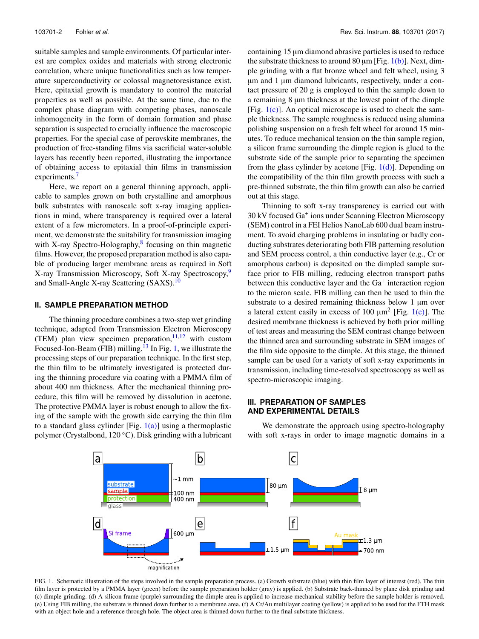suitable samples and sample environments. Of particular interest are complex oxides and materials with strong electronic correlation, where unique functionalities such as low temperature superconductivity or colossal magnetoresistance exist. Here, epitaxial growth is mandatory to control the material properties as well as possible. At the same time, due to the complex phase diagram with competing phases, nanoscale inhomogeneity in the form of domain formation and phase separation is suspected to crucially influence the macroscopic properties. For the special case of perovskite membranes, the production of free-standing films via sacrificial water-soluble layers has recently been reported, illustrating the importance of obtaining access to epitaxial thin films in transmission experiments.<sup>7</sup>

Here, we report on a general thinning approach, applicable to samples grown on both crystalline and amorphous bulk substrates with nanoscale soft x-ray imaging applications in mind, where transparency is required over a lateral extent of a few micrometers. In a proof-of-principle experiment, we demonstrate the suitability for transmission imaging with X-ray Spectro-Holography,<sup>8</sup> focusing on thin magnetic films. However, the proposed preparation method is also capable of producing larger membrane areas as required in Soft X-ray Transmission Microscopy, Soft X-ray Spectroscopy,<sup>9</sup> and Small-Angle X-ray Scattering (SAXS).<sup>10</sup>

### **II. SAMPLE PREPARATION METHOD**

The thinning procedure combines a two-step wet grinding technique, adapted from Transmission Electron Microscopy (TEM) plan view specimen preparation,  $11,12$  with custom Focused-Ion-Beam (FIB) milling.<sup>13</sup> In Fig. 1, we illustrate the processing steps of our preparation technique. In the first step, the thin film to be ultimately investigated is protected during the thinning procedure via coating with a PMMA film of about 400 nm thickness. After the mechanical thinning procedure, this film will be removed by dissolution in acetone. The protective PMMA layer is robust enough to allow the fixing of the sample with the growth side carrying the thin film to a standard glass cylinder [Fig.  $1(a)$ ] using a thermoplastic polymer (Crystalbond, 120 ◦C). Disk grinding with a lubricant containing 15 µm diamond abrasive particles is used to reduce the substrate thickness to around 80  $\mu$ m [Fig. 1(b)]. Next, dimple grinding with a flat bronze wheel and felt wheel, using 3 µm and 1 µm diamond lubricants, respectively, under a contact pressure of 20 g is employed to thin the sample down to a remaining 8  $\mu$ m thickness at the lowest point of the dimple [Fig.  $1(c)$ ]. An optical microscope is used to check the sample thickness. The sample roughness is reduced using alumina polishing suspension on a fresh felt wheel for around 15 minutes. To reduce mechanical tension on the thin sample region, a silicon frame surrounding the dimple region is glued to the substrate side of the sample prior to separating the specimen from the glass cylinder by acetone [Fig.  $1(d)$ ]. Depending on the compatibility of the thin film growth process with such a pre-thinned substrate, the thin film growth can also be carried out at this stage.

Thinning to soft x-ray transparency is carried out with 30 kV focused Ga<sup>+</sup> ions under Scanning Electron Microscopy (SEM) control in a FEI Helios NanoLab 600 dual beam instrument. To avoid charging problems in insulating or badly conducting substrates deteriorating both FIB patterning resolution and SEM process control, a thin conductive layer (e.g., Cr or amorphous carbon) is deposited on the dimpled sample surface prior to FIB milling, reducing electron transport paths between this conductive layer and the Ga<sup>+</sup> interaction region to the micron scale. FIB milling can then be used to thin the substrate to a desired remaining thickness below 1 µm over a lateral extent easily in excess of 100  $\mu$ m<sup>2</sup> [Fig. 1(e)]. The desired membrane thickness is achieved by both prior milling of test areas and measuring the SEM contrast change between the thinned area and surrounding substrate in SEM images of the film side opposite to the dimple. At this stage, the thinned sample can be used for a variety of soft x-ray experiments in transmission, including time-resolved spectroscopy as well as spectro-microscopic imaging.

## **III. PREPARATION OF SAMPLES AND EXPERIMENTAL DETAILS**

We demonstrate the approach using spectro-holography with soft x-rays in order to image magnetic domains in a



FIG. 1. Schematic illustration of the steps involved in the sample preparation process. (a) Growth substrate (blue) with thin film layer of interest (red). The thin film layer is protected by a PMMA layer (green) before the sample preparation holder (gray) is applied. (b) Substrate back-thinned by plane disk grinding and (c) dimple grinding. (d) A silicon frame (purple) surrounding the dimple area is applied to increase mechanical stability before the sample holder is removed. (e) Using FIB milling, the substrate is thinned down further to a membrane area. (f) A Cr/Au multilayer coating (yellow) is applied to be used for the FTH mask with an object hole and a reference through hole. The object area is thinned down further to the final substrate thickness.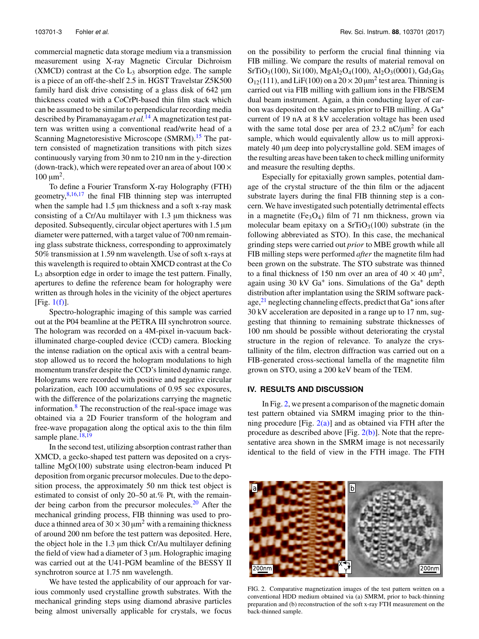commercial magnetic data storage medium via a transmission measurement using X-ray Magnetic Circular Dichroism  $(XMCD)$  contrast at the Co  $L_3$  absorption edge. The sample is a piece of an off-the-shelf 2.5 in. HGST Travelstar Z5K500 family hard disk drive consisting of a glass disk of 642 µm thickness coated with a CoCrPt-based thin film stack which can be assumed to be similar to perpendicular recording media described by Piramanayagam *et al.*<sup>14</sup> A magnetization test pattern was written using a conventional read/write head of a Scanning Magnetoresistive Microscope (SMRM).<sup>15</sup> The pattern consisted of magnetization transitions with pitch sizes continuously varying from 30 nm to 210 nm in the y-direction (down-track), which were repeated over an area of about  $100 \times$  $100 \mu m^2$ .

To define a Fourier Transform X-ray Holography (FTH) geometry, $8,16,17$  the final FIB thinning step was interrupted when the sample had 1.5 µm thickness and a soft x-ray mask consisting of a Cr/Au multilayer with 1.3 µm thickness was deposited. Subsequently, circular object apertures with 1.5 µm diameter were patterned, with a target value of 700 nm remaining glass substrate thickness, corresponding to approximately 50% transmission at 1.59 nm wavelength. Use of soft x-rays at this wavelength is required to obtain XMCD contrast at the Co L<sup>3</sup> absorption edge in order to image the test pattern. Finally, apertures to define the reference beam for holography were written as through holes in the vicinity of the object apertures [Fig. 1(f)].

Spectro-holographic imaging of this sample was carried out at the P04 beamline at the PETRA III synchrotron source. The hologram was recorded on a 4M-pixel in-vacuum backilluminated charge-coupled device (CCD) camera. Blocking the intense radiation on the optical axis with a central beamstop allowed us to record the hologram modulations to high momentum transfer despite the CCD's limited dynamic range. Holograms were recorded with positive and negative circular polarization, each 100 accumulations of 0.95 sec exposures, with the difference of the polarizations carrying the magnetic information.<sup>8</sup> The reconstruction of the real-space image was obtained via a 2D Fourier transform of the hologram and free-wave propagation along the optical axis to the thin film sample plane. $18,19$ 

In the second test, utilizing absorption contrast rather than XMCD, a gecko-shaped test pattern was deposited on a crystalline MgO(100) substrate using electron-beam induced Pt deposition from organic precursor molecules. Due to the deposition process, the approximately 50 nm thick test object is estimated to consist of only 20–50 at.% Pt, with the remainder being carbon from the precursor molecules.<sup>20</sup> After the mechanical grinding process, FIB thinning was used to produce a thinned area of  $30 \times 30 \mu m^2$  with a remaining thickness of around 200 nm before the test pattern was deposited. Here, the object hole in the 1.3 µm thick Cr/Au multilayer defining the field of view had a diameter of  $3 \mu m$ . Holographic imaging was carried out at the U41-PGM beamline of the BESSY II synchrotron source at 1.75 nm wavelength.

We have tested the applicability of our approach for various commonly used crystalline growth substrates. With the mechanical grinding steps using diamond abrasive particles being almost universally applicable for crystals, we focus on the possibility to perform the crucial final thinning via FIB milling. We compare the results of material removal on  $SrTiO<sub>3</sub>(100)$ ,  $Si(100)$ ,  $MgAl<sub>2</sub>O<sub>4</sub>(100)$ ,  $Al<sub>2</sub>O<sub>3</sub>(0001)$ ,  $Gd<sub>3</sub>Ga<sub>5</sub>$  $O_{12}(111)$ , and LiF(100) on a  $20 \times 20 \mu m^2$  test area. Thinning is carried out via FIB milling with gallium ions in the FIB/SEM dual beam instrument. Again, a thin conducting layer of carbon was deposited on the samples prior to FIB milling. A Ga<sup>+</sup> current of 19 nA at 8 kV acceleration voltage has been used with the same total dose per area of  $23.2 \text{ nC/\mu m}^2$  for each sample, which would equivalently allow us to mill approximately 40  $\mu$ m deep into polycrystalline gold. SEM images of the resulting areas have been taken to check milling uniformity and measure the resulting depths.

Especially for epitaxially grown samples, potential damage of the crystal structure of the thin film or the adjacent substrate layers during the final FIB thinning step is a concern. We have investigated such potentially detrimental effects in a magnetite (Fe<sub>3</sub>O<sub>4</sub>) film of 71 nm thickness, grown via molecular beam epitaxy on a  $SrTiO<sub>3</sub>(100)$  substrate (in the following abbreviated as STO). In this case, the mechanical grinding steps were carried out *prior* to MBE growth while all FIB milling steps were performed *after* the magnetite film had been grown on the substrate. The STO substrate was thinned to a final thickness of 150 nm over an area of  $40 \times 40 \text{ }\mu\text{m}^2$ , again using 30 kV Ga<sup>+</sup> ions. Simulations of the Ga<sup>+</sup> depth distribution after implantation using the SRIM software package,<sup>21</sup> neglecting channeling effects, predict that Ga<sup>+</sup> ions after 30 kV acceleration are deposited in a range up to 17 nm, suggesting that thinning to remaining substrate thicknesses of 100 nm should be possible without deteriorating the crystal structure in the region of relevance. To analyze the crystallinity of the film, electron diffraction was carried out on a FIB-generated cross-sectional lamella of the magnetite film grown on STO, using a 200 keV beam of the TEM.

#### **IV. RESULTS AND DISCUSSION**

In Fig. 2, we present a comparison of the magnetic domain test pattern obtained via SMRM imaging prior to the thinning procedure [Fig.  $2(a)$ ] and as obtained via FTH after the procedure as described above [Fig.  $2(b)$ ]. Note that the representative area shown in the SMRM image is not necessarily identical to the field of view in the FTH image. The FTH



FIG. 2. Comparative magnetization images of the test pattern written on a conventional HDD medium obtained via (a) SMRM, prior to back-thinning preparation and (b) reconstruction of the soft x-ray FTH measurement on the back-thinned sample.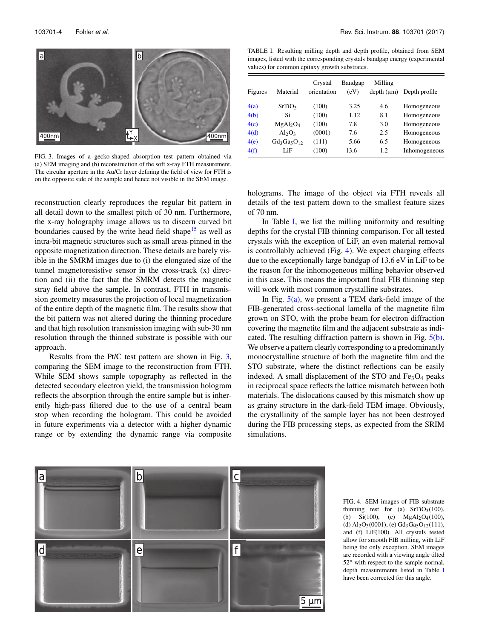

FIG. 3. Images of a gecko-shaped absorption test pattern obtained via (a) SEM imaging and (b) reconstruction of the soft x-ray FTH measurement. The circular aperture in the Au/Cr layer defining the field of view for FTH is on the opposite side of the sample and hence not visible in the SEM image.

reconstruction clearly reproduces the regular bit pattern in all detail down to the smallest pitch of 30 nm. Furthermore, the x-ray holography image allows us to discern curved bit boundaries caused by the write head field shape<sup>15</sup> as well as intra-bit magnetic structures such as small areas pinned in the opposite magnetization direction. These details are barely visible in the SMRM images due to (i) the elongated size of the tunnel magnetoresistive sensor in the cross-track (x) direction and (ii) the fact that the SMRM detects the magnetic stray field above the sample. In contrast, FTH in transmission geometry measures the projection of local magnetization of the entire depth of the magnetic film. The results show that the bit pattern was not altered during the thinning procedure and that high resolution transmission imaging with sub-30 nm resolution through the thinned substrate is possible with our approach.

Results from the Pt/C test pattern are shown in Fig. 3, comparing the SEM image to the reconstruction from FTH. While SEM shows sample topography as reflected in the detected secondary electron yield, the transmission hologram reflects the absorption through the entire sample but is inherently high-pass filtered due to the use of a central beam stop when recording the hologram. This could be avoided in future experiments via a detector with a higher dynamic range or by extending the dynamic range via composite

TABLE I. Resulting milling depth and depth profile, obtained from SEM images, listed with the corresponding crystals bandgap energy (experimental values) for common epitaxy growth substrates.

| Figures | Material                         | Crystal<br>orientation | Bandgap<br>(eV) | Milling<br>depth (µm) | Depth profile |
|---------|----------------------------------|------------------------|-----------------|-----------------------|---------------|
| 4(a)    | SrTiO <sub>3</sub>               | (100)                  | 3.25            | 4.6                   | Homogeneous   |
| 4(b)    | Si                               | (100)                  | 1.12            | 8.1                   | Homogeneous   |
| 4(c)    | MgAl <sub>2</sub> O <sub>4</sub> | (100)                  | 7.8             | 3.0                   | Homogeneous   |
| 4(d)    | $Al_2O_3$                        | (0001)                 | 7.6             | 2.5                   | Homogeneous   |
| 4(e)    | $Gd_3Ga_5O_{12}$                 | (111)                  | 5.66            | 6.5                   | Homogeneous   |
| 4(f)    | LiF                              | (100)                  | 13.6            | 1.2                   | Inhomogeneous |

holograms. The image of the object via FTH reveals all details of the test pattern down to the smallest feature sizes of 70 nm.

In Table I, we list the milling uniformity and resulting depths for the crystal FIB thinning comparison. For all tested crystals with the exception of LiF, an even material removal is controllably achieved (Fig. 4). We expect charging effects due to the exceptionally large bandgap of 13.6 eV in LiF to be the reason for the inhomogeneous milling behavior observed in this case. This means the important final FIB thinning step will work with most common crystalline substrates.

In Fig.  $5(a)$ , we present a TEM dark-field image of the FIB-generated cross-sectional lamella of the magnetite film grown on STO, with the probe beam for electron diffraction covering the magnetite film and the adjacent substrate as indicated. The resulting diffraction pattern is shown in Fig. 5(b). We observe a pattern clearly corresponding to a predominantly monocrystalline structure of both the magnetite film and the STO substrate, where the distinct reflections can be easily indexed. A small displacement of the STO and  $Fe<sub>3</sub>O<sub>4</sub>$  peaks in reciprocal space reflects the lattice mismatch between both materials. The dislocations caused by this mismatch show up as grainy structure in the dark-field TEM image. Obviously, the crystallinity of the sample layer has not been destroyed during the FIB processing steps, as expected from the SRIM simulations.



FIG. 4. SEM images of FIB substrate thinning test for (a)  $SrTiO<sub>3</sub>(100)$ , (b) Si(100), (c)  $MgAl_2O_4(100)$ , (d)  $Al_2O_3(0001)$ , (e)  $Gd_3Ga_5O_{12}(111)$ , and (f) LiF(100). All crystals tested allow for smooth FIB milling, with LiF being the only exception. SEM images are recorded with a viewing angle tilted 52<sup>°</sup> with respect to the sample normal, depth measurements listed in Table I have been corrected for this angle.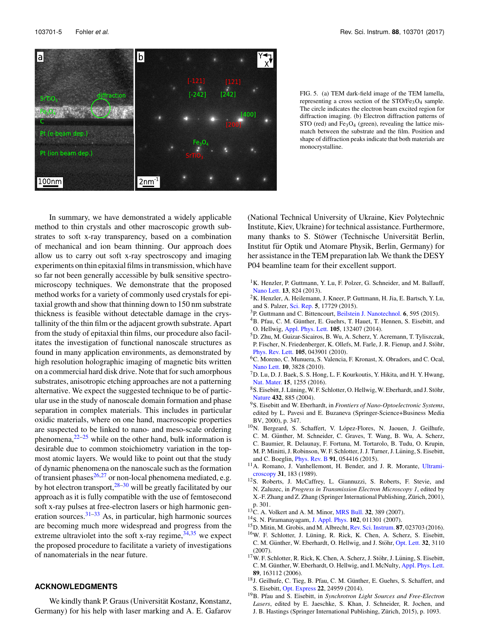

FIG. 5. (a) TEM dark-field image of the TEM lamella, representing a cross section of the  $STO/Fe<sub>3</sub>O<sub>4</sub>$  sample. The circle indicates the electron beam excited region for diffraction imaging. (b) Electron diffraction patterns of STO (red) and Fe<sub>3</sub>O<sub>4</sub> (green), revealing the lattice mismatch between the substrate and the film. Position and shape of diffraction peaks indicate that both materials are monocrystalline.

In summary, we have demonstrated a widely applicable method to thin crystals and other macroscopic growth substrates to soft x-ray transparency, based on a combination of mechanical and ion beam thinning. Our approach does allow us to carry out soft x-ray spectroscopy and imaging experiments on thin epitaxial films in transmission, which have so far not been generally accessible by bulk sensitive spectromicroscopy techniques. We demonstrate that the proposed method works for a variety of commonly used crystals for epitaxial growth and show that thinning down to 150 nm substrate thickness is feasible without detectable damage in the crystallinity of the thin film or the adjacent growth substrate. Apart from the study of epitaxial thin films, our procedure also facilitates the investigation of functional nanoscale structures as found in many application environments, as demonstrated by high resolution holographic imaging of magnetic bits written on a commercial hard disk drive. Note that for such amorphous substrates, anisotropic etching approaches are not a patterning alternative. We expect the suggested technique to be of particular use in the study of nanoscale domain formation and phase separation in complex materials. This includes in particular oxidic materials, where on one hand, macroscopic properties are suspected to be linked to nano- and meso-scale ordering phenomena, $2^{2-25}$  while on the other hand, bulk information is desirable due to common stoichiometry variation in the topmost atomic layers. We would like to point out that the study of dynamic phenomena on the nanoscale such as the formation of transient phases $26,27$  or non-local phenomena mediated, e.g. by hot electron transport,  $28-30$  will be greatly facilitated by our approach as it is fully compatible with the use of femtosecond soft x-ray pulses at free-electron lasers or high harmonic generation sources.31–33 As, in particular, high harmonic sources are becoming much more widespread and progress from the extreme ultraviolet into the soft x-ray regime,  $34,35$  we expect the proposed procedure to facilitate a variety of investigations of nanomaterials in the near future.

### **ACKNOWLEDGMENTS**

We kindly thank P. Graus (Universität Kostanz, Konstanz, Germany) for his help with laser marking and A. E. Gafarov (National Technical University of Ukraine, Kiev Polytechnic Institute, Kiev, Ukraine) for technical assistance. Furthermore, many thanks to S. Stöwer (Technische Universität Berlin, Institut für Optik und Atomare Physik, Berlin, Germany) for her assistance in the TEM preparation lab. We thank the DESY P04 beamline team for their excellent support.

- <sup>1</sup>K. Henzler, P. Guttmann, Y. Lu, F. Polzer, G. Schneider, and M. Ballauff, Nano Lett. **13**, 824 (2013).
- <sup>2</sup>K. Henzler, A. Heilemann, J. Kneer, P. Guttmann, H. Jia, E. Bartsch, Y. Lu, and S. Palzer, Sci. Rep. **5**, 17729 (2015).
- <sup>3</sup>P. Guttmann and C. Bittencourt, Beilstein J. Nanotechnol. **6**, 595 (2015).
- <sup>4</sup>B. Pfau, C. M. Günther, E. Guehrs, T. Hauet, T. Hennen, S. Eisebitt, and O. Hellwig, Appl. Phys. Lett. **105**, 132407 (2014).
- <sup>5</sup>D. Zhu, M. Guizar-Sicairos, B. Wu, A. Scherz, Y. Acremann, T. Tyliszczak, P. Fischer, N. Friedenberger, K. Ollefs, M. Farle, J. R. Fienup, and J. Stöhr, Phys. Rev. Lett. **105**, 043901 (2010).
- <sup>6</sup>C. Moreno, C. Munuera, S. Valencia, F. Kronast, X. Obradors, and C. Ocal, Nano Lett. **10**, 3828 (2010).
- <sup>7</sup>D. Lu, D. J. Baek, S. S. Hong, L. F. Kourkoutis, Y. Hikita, and H. Y. Hwang, Nat. Mater. **15**, 1255 (2016).
- $8S.$  Eisebitt, J. Lüning, W. F. Schlotter, O. Hellwig, W. Eberhardt, and J. Stöhr, Nature **432**, 885 (2004).
- <sup>9</sup>S. Eisebitt and W. Eberhardt, in *Frontiers of Nano-Optoelectronic Systems*, edited by L. Pavesi and E. Buzaneva (Springer-Science+Business Media BV, 2000), p. 347.
- <sup>10</sup>N. Bergeard, S. Schaffert, V. López-Flores, N. Jaouen, J. Geilhufe,
- C. M. Günther, M. Schneider, C. Graves, T. Wang, B. Wu, A. Scherz,
- C. Baumier, R. Delaunay, F. Fortuna, M. Tortarolo, B. Tudu, O. Krupin, M. P. Minitti, J. Robinson, W. F. Schlotter, J. J. Turner, J. Lüning, S. Eisebitt,
- and C. Boeglin, Phys. Rev. B **91**, 054416 (2015).
- <sup>11</sup>A. Romano, J. Vanhellemont, H. Bender, and J. R. Morante, Ultramicroscopy **31**, 183 (1989).
- <sup>12</sup>S. Roberts, J. McCaffrey, L. Giannuzzi, S. Roberts, F. Stevie, and N. Zaluzec, in *Progress in Transmission Electron Microscopy 1*, edited by X.-F. Zhang and Z. Zhang (Springer International Publishing, Zürich, 2001), p. 301.
- <sup>13</sup>C. A. Volkert and A. M. Minor, MRS Bull. **32**, 389 (2007).
- <sup>14</sup>S. N. Piramanayagam, J. Appl. Phys. **102**, 011301 (2007).
- <sup>15</sup>D. Mitin, M. Grobis, and M. Albrecht, Rev. Sci. Instrum. **87**, 023703 (2016).
- <sup>16</sup>W. F. Schlotter, J. Lüning, R. Rick, K. Chen, A. Scherz, S. Eisebitt, C. M. Günther, W. Eberhardt, O. Hellwig, and J. Stöhr, Opt. Lett. 32, 3110 (2007).
- $17$ W. F. Schlotter, R. Rick, K. Chen, A. Scherz, J. Stöhr, J. Lüning, S. Eisebitt, C. M. Günther, W. Eberhardt, O. Hellwig, and I. McNulty, Appl. Phys. Lett. **89**, 163112 (2006).
- $18$ J. Geilhufe, C. Tieg, B. Pfau, C. M. Günther, E. Guehrs, S. Schaffert, and S. Eisebitt, Opt. Express **22**, 24959 (2014).
- <sup>19</sup>B. Pfau and S. Eisebitt, in *Synchrotron Light Sources and Free-Electron Lasers*, edited by E. Jaeschke, S. Khan, J. Schneider, R. Jochen, and J. B. Hastings (Springer International Publishing, Zürich, 2015), p. 1093.